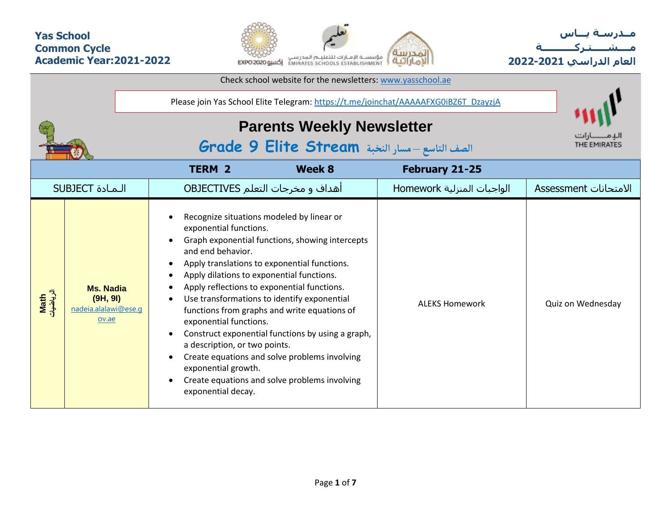## **Yas School Common Cycle Academic Year:2021-2022**



**مــدرسـة يـــاس مــــشـ ـــ ـتـ ركـ ــــــــــ ة العام الدراسي -2021 2022**

| Check school website for the newsletters: www.yasschool.ae |                                                                                     |                                                                                                                                                                                                                                                                                                                                                                                                                                                                                                                                                                                                                                                                    |                                 |                                                                          |                       |  |  |  |  |  |  |  |
|------------------------------------------------------------|-------------------------------------------------------------------------------------|--------------------------------------------------------------------------------------------------------------------------------------------------------------------------------------------------------------------------------------------------------------------------------------------------------------------------------------------------------------------------------------------------------------------------------------------------------------------------------------------------------------------------------------------------------------------------------------------------------------------------------------------------------------------|---------------------------------|--------------------------------------------------------------------------|-----------------------|--|--|--|--|--|--|--|
|                                                            | Please join Yas School Elite Telegram: https://t.me/joinchat/AAAAAFXG0iBZ6T_DzayzjA |                                                                                                                                                                                                                                                                                                                                                                                                                                                                                                                                                                                                                                                                    |                                 |                                                                          |                       |  |  |  |  |  |  |  |
|                                                            |                                                                                     | <b>Parents Weekly Newsletter</b><br>الصف التاسع - مسار النخبة Grade 9 Elite Stream                                                                                                                                                                                                                                                                                                                                                                                                                                                                                                                                                                                 |                                 |                                                                          |                       |  |  |  |  |  |  |  |
|                                                            |                                                                                     | <b>TERM 2</b>                                                                                                                                                                                                                                                                                                                                                                                                                                                                                                                                                                                                                                                      | <b>Week 8</b><br>February 21-25 |                                                                          |                       |  |  |  |  |  |  |  |
|                                                            | <b>SUBJECT</b> الـمـادة                                                             | <b>OBJECTIVES</b> اهداف و مخرجات التعلم                                                                                                                                                                                                                                                                                                                                                                                                                                                                                                                                                                                                                            |                                 |                                                                          | الامتحانات Assessment |  |  |  |  |  |  |  |
| Math<br>الرياضيات                                          | <b>Ms. Nadia</b><br>(9H, 9I)<br>nadeia.alalawi@ese.q<br>ov.ae                       | Recognize situations modeled by linear or<br>exponential functions.<br>Graph exponential functions, showing intercepts<br>and end behavior.<br>Apply translations to exponential functions.<br>Apply dilations to exponential functions.<br>Apply reflections to exponential functions.<br>Use transformations to identify exponential<br>functions from graphs and write equations of<br>exponential functions.<br>Construct exponential functions by using a graph,<br>$\bullet$<br>a description, or two points.<br>Create equations and solve problems involving<br>exponential growth.<br>Create equations and solve problems involving<br>exponential decay. |                                 | الواجبات المنزلية Homework<br><b>ALEKS Homework</b><br>Quiz on Wednesday |                       |  |  |  |  |  |  |  |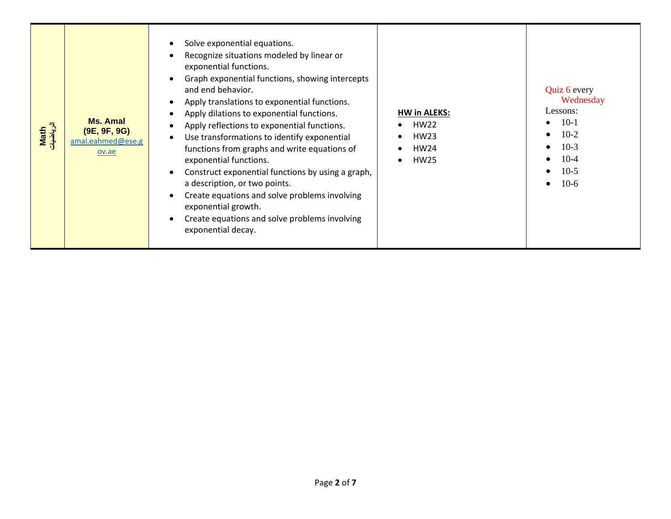| Solve exponential equations.<br>$\bullet$<br>Recognize situations modeled by linear or<br>exponential functions.<br>Graph exponential functions, showing intercepts<br>and end behavior.<br>Apply translations to exponential functions.<br>Apply dilations to exponential functions.<br><b>Ms. Amal</b><br>Apply reflections to exponential functions.<br>الرياة<br>Math<br>(9E, 9F, 9G)<br>Use transformations to identify exponential<br>$\bullet$<br>amal.eahmed@ese.g<br>functions from graphs and write equations of<br>ov.ae<br>exponential functions.<br>Construct exponential functions by using a graph,<br>a description, or two points.<br>Create equations and solve problems involving<br>exponential growth.<br>Create equations and solve problems involving<br>exponential decay. | <b>HW in ALEKS:</b><br><b>HW22</b><br><b>HW23</b><br><b>HW24</b><br><b>HW25</b> | Quiz 6 every<br>Wednesday<br>Lessons:<br>$10-1$<br>$\bullet$<br>$10-2$<br>$\bullet$<br>$10-3$<br>$\bullet$<br>$10-4$<br>$\bullet$<br>$10-5$<br>$\bullet$<br>$10-6$<br>$\bullet$ |
|----------------------------------------------------------------------------------------------------------------------------------------------------------------------------------------------------------------------------------------------------------------------------------------------------------------------------------------------------------------------------------------------------------------------------------------------------------------------------------------------------------------------------------------------------------------------------------------------------------------------------------------------------------------------------------------------------------------------------------------------------------------------------------------------------|---------------------------------------------------------------------------------|---------------------------------------------------------------------------------------------------------------------------------------------------------------------------------|
|----------------------------------------------------------------------------------------------------------------------------------------------------------------------------------------------------------------------------------------------------------------------------------------------------------------------------------------------------------------------------------------------------------------------------------------------------------------------------------------------------------------------------------------------------------------------------------------------------------------------------------------------------------------------------------------------------------------------------------------------------------------------------------------------------|---------------------------------------------------------------------------------|---------------------------------------------------------------------------------------------------------------------------------------------------------------------------------|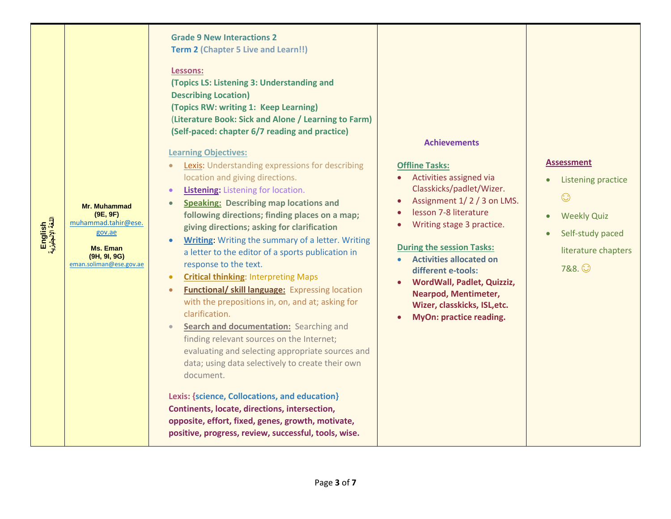| English<br>اللغة الإنجليزية | <b>Mr. Muhammad</b><br>(9E, 9F)<br>muhammad.tahir@ese.<br>gov.ae<br><b>Ms. Eman</b><br>(9H, 9I, 9G)<br>eman.soliman@ese.gov.ae | <b>Grade 9 New Interactions 2</b><br><b>Term 2 (Chapter 5 Live and Learn!!)</b><br>Lessons:<br>(Topics LS: Listening 3: Understanding and<br><b>Describing Location)</b><br>(Topics RW: writing 1: Keep Learning)<br>(Literature Book: Sick and Alone / Learning to Farm)<br>(Self-paced: chapter 6/7 reading and practice)<br><b>Learning Objectives:</b><br><b>Lexis:</b> Understanding expressions for describing<br>$\bullet$<br>location and giving directions.<br><b>Listening:</b> Listening for location.<br>$\bullet$<br><b>Speaking: Describing map locations and</b><br>following directions; finding places on a map;<br>giving directions; asking for clarification<br><b>Writing:</b> Writing the summary of a letter. Writing<br>a letter to the editor of a sports publication in<br>response to the text.<br><b>Critical thinking: Interpreting Maps</b><br><b>Functional/ skill language:</b> Expressing location<br>$\bullet$<br>with the prepositions in, on, and at; asking for<br>clarification.<br>Search and documentation: Searching and<br>$\bullet$<br>finding relevant sources on the Internet;<br>evaluating and selecting appropriate sources and<br>data; using data selectively to create their own<br>document.<br>Lexis: {science, Collocations, and education}<br>Continents, locate, directions, intersection,<br>opposite, effort, fixed, genes, growth, motivate,<br>positive, progress, review, successful, tools, wise. | <b>Achievements</b><br><b>Offline Tasks:</b><br>Activities assigned via<br>Classkicks/padlet/Wizer.<br>Assignment 1/2/3 on LMS.<br>lesson 7-8 literature<br>Writing stage 3 practice.<br><b>During the session Tasks:</b><br><b>Activities allocated on</b><br>different e-tools:<br><b>WordWall, Padlet, Quizziz,</b><br><b>Nearpod, Mentimeter,</b><br>Wizer, classkicks, ISL, etc.<br>MyOn: practice reading. | <b>Assessment</b><br>Listening practice<br>$\odot$<br><b>Weekly Quiz</b><br>$\bullet$<br>Self-study paced<br>literature chapters<br>7&8. ① |
|-----------------------------|--------------------------------------------------------------------------------------------------------------------------------|-----------------------------------------------------------------------------------------------------------------------------------------------------------------------------------------------------------------------------------------------------------------------------------------------------------------------------------------------------------------------------------------------------------------------------------------------------------------------------------------------------------------------------------------------------------------------------------------------------------------------------------------------------------------------------------------------------------------------------------------------------------------------------------------------------------------------------------------------------------------------------------------------------------------------------------------------------------------------------------------------------------------------------------------------------------------------------------------------------------------------------------------------------------------------------------------------------------------------------------------------------------------------------------------------------------------------------------------------------------------------------------------------------------------------------------------------------------------|------------------------------------------------------------------------------------------------------------------------------------------------------------------------------------------------------------------------------------------------------------------------------------------------------------------------------------------------------------------------------------------------------------------|--------------------------------------------------------------------------------------------------------------------------------------------|
|-----------------------------|--------------------------------------------------------------------------------------------------------------------------------|-----------------------------------------------------------------------------------------------------------------------------------------------------------------------------------------------------------------------------------------------------------------------------------------------------------------------------------------------------------------------------------------------------------------------------------------------------------------------------------------------------------------------------------------------------------------------------------------------------------------------------------------------------------------------------------------------------------------------------------------------------------------------------------------------------------------------------------------------------------------------------------------------------------------------------------------------------------------------------------------------------------------------------------------------------------------------------------------------------------------------------------------------------------------------------------------------------------------------------------------------------------------------------------------------------------------------------------------------------------------------------------------------------------------------------------------------------------------|------------------------------------------------------------------------------------------------------------------------------------------------------------------------------------------------------------------------------------------------------------------------------------------------------------------------------------------------------------------------------------------------------------------|--------------------------------------------------------------------------------------------------------------------------------------------|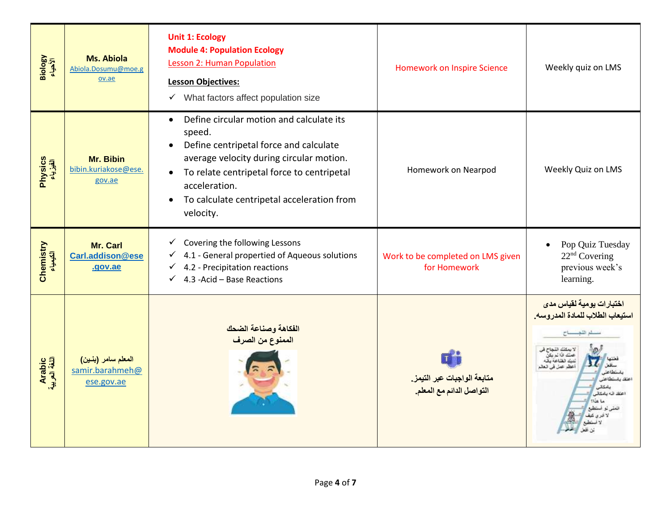| Biology<br>الأحياء      | <b>Ms. Abiola</b><br>Abiola.Dosumu@moe.g<br>ov.ae   | <b>Unit 1: Ecology</b><br><b>Module 4: Population Ecology</b><br><b>Lesson 2: Human Population</b><br><b>Lesson Objectives:</b><br>$\checkmark$ What factors affect population size                                                                                                                                    | <b>Homework on Inspire Science</b>                       | Weekly quiz on LMS                                                                                                                                |
|-------------------------|-----------------------------------------------------|------------------------------------------------------------------------------------------------------------------------------------------------------------------------------------------------------------------------------------------------------------------------------------------------------------------------|----------------------------------------------------------|---------------------------------------------------------------------------------------------------------------------------------------------------|
| Physics<br>الفیزیباء    | Mr. Bibin<br>bibin.kuriakose@ese.<br>gov.ae         | Define circular motion and calculate its<br>$\bullet$<br>speed.<br>Define centripetal force and calculate<br>$\bullet$<br>average velocity during circular motion.<br>To relate centripetal force to centripetal<br>$\bullet$<br>acceleration.<br>To calculate centripetal acceleration from<br>$\bullet$<br>velocity. | Homework on Nearpod                                      | Weekly Quiz on LMS                                                                                                                                |
| Chemistry<br>الكيمياء   | Mr. Carl<br>Carl.addison@ese<br>.gov.ae             | Covering the following Lessons<br>$\checkmark$<br>4.1 - General propertied of Aqueous solutions<br>$\checkmark$<br>4.2 - Precipitation reactions<br>$\checkmark$<br>4.3 - Acid - Base Reactions<br>$\checkmark$                                                                                                        | Work to be completed on LMS given<br>for Homework        | Pop Quiz Tuesday<br>22 <sup>nd</sup> Covering<br>previous week's<br>learning.                                                                     |
| Arabic<br>اللغة العربية | المعلم سامر (بنين)<br>samir.barahmeh@<br>ese.gov.ae | الفكاهة وصناعة الضحك<br>الممنوع من الصرف                                                                                                                                                                                                                                                                               | متابعة الواجبات عبر التيمز.<br>التواصل الدائم مع المعلم. | اختبارات يومية لقياس مدى<br>استيعاب الطلاب للمادة المدروسه.<br>سلم التجسساح<br>لاستنك القمام<br>عظم عمل في العالم<br>عتقد اثنه بامكائير<br>lik La |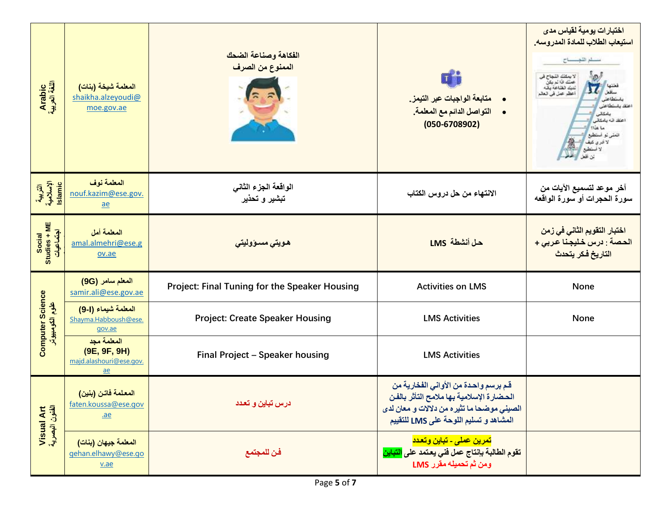| Arabic<br>اللغة العربية                    | المعلمة شيخة (بنات)<br>shaikha.alzeyoudi@<br>moe.gov.ae                    | الفكاهة وصناعة الضحك<br>الممنوع من الصرف      | <b>u</b><br>متابعة الواجبات عبر التيمز.<br>التواصل الدائم مع المعلمة.<br>$\bullet$<br>$(050 - 6708902)$                                                                  | اختبارات يومية لقياس مد <i>ى</i><br>استيعاب الطلاب للمادة المدروسه.<br>سلم التجارح<br>لايمكنك النجاح في<br>عملك فا لم يكن<br>لديك الظاعة يقه<br>أعظم عمل في العالم<br>باستطاعته<br>عتقا باستطاعنا<br>بامكاثر<br>اعتقد اثه بامکانی<br>ما هذا؟<br>انعفى لو استطوع<br>لا لتری کنیف<br>لا استطبع<br>لين اللعل |  |  |  |  |
|--------------------------------------------|----------------------------------------------------------------------------|-----------------------------------------------|--------------------------------------------------------------------------------------------------------------------------------------------------------------------------|-----------------------------------------------------------------------------------------------------------------------------------------------------------------------------------------------------------------------------------------------------------------------------------------------------------|--|--|--|--|
| التربية<br>الإسلامية<br>Islamic            | المعلمة نوف<br>nouf.kazim@ese.gov.<br>$ae$                                 | الواقعة الجزء الثانى<br>تبشير و تحذير         | الانتهاء من حل دروس الكتاب                                                                                                                                               | آخر موعد لتسميع الآيات من<br>سورة الحجرات أو سورة الواقعه                                                                                                                                                                                                                                                 |  |  |  |  |
| Studies + ME<br>اجتماعيات<br>Social        | المعلمة أمل<br>amal.almehri@ese.g<br>ov.ae                                 | ھويت <i>ى</i> مسىؤوليت <i>ى</i>               | حل أنشطة LMS                                                                                                                                                             | اختبار التقويم الثان <i>ي</i> ف <i>ي ز</i> م <i>ن</i><br>الحصة : درس خليجنا عربى +<br>التاريخ فكر يتحدث                                                                                                                                                                                                   |  |  |  |  |
|                                            | المعلم سامر (9G)<br>samir.ali@ese.gov.ae                                   | Project: Final Tuning for the Speaker Housing | <b>Activities on LMS</b>                                                                                                                                                 | <b>None</b>                                                                                                                                                                                                                                                                                               |  |  |  |  |
| <b>Computer Science</b><br>علوم الكومبيوتر | المعلمة شيماء (1-9)<br>Shayma.Habboush@ese.<br>gov.ae                      | <b>Project: Create Speaker Housing</b>        | <b>LMS Activities</b>                                                                                                                                                    | None                                                                                                                                                                                                                                                                                                      |  |  |  |  |
|                                            | المعلمة مجد<br>(9E, 9F, 9H)<br>majd.alashouri@ese.gov.<br>$\underline{ae}$ | Final Project - Speaker housing               | <b>LMS Activities</b>                                                                                                                                                    |                                                                                                                                                                                                                                                                                                           |  |  |  |  |
| Visual Art<br>الظنون البصرية               | المعلمة فاتن (بنين)<br>faten.koussa@ese.gov<br>$a$ e                       | درس تباین و تعدد                              | قم برسم واحدة من الأواني الفخارية من<br>الحضارة الإسلامية بها ملامح التأثر بالفن<br>الصيني موضحا ما تثيره من دلالات و معان لدى<br>المشاهد و تسليم اللوحة على LMS للتقييم |                                                                                                                                                                                                                                                                                                           |  |  |  |  |
|                                            | المعلمة جيهان (بنات)<br>gehan.elhawy@ese.go<br>$va$                        | فن للمجتمع                                    | <mark>تمرين عملي ـ تباين وتعدد</mark><br>تقوم الطالبة بإنتاج عمل فنى يعتمد على <mark>التباين</mark><br>ومن ثم تحميله مقرر LMS                                            |                                                                                                                                                                                                                                                                                                           |  |  |  |  |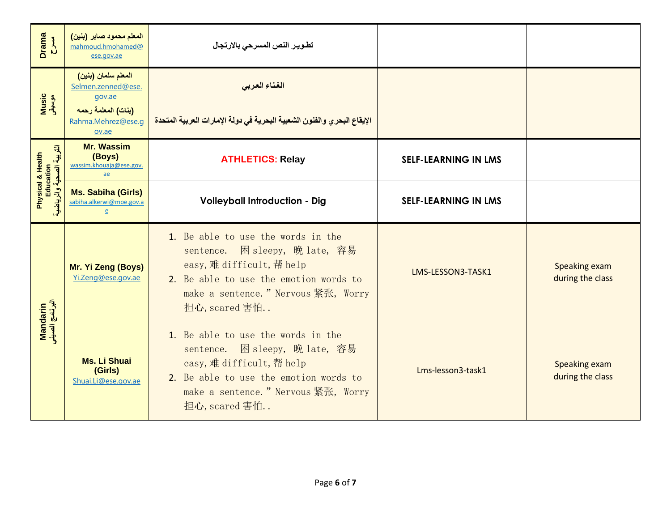| <b>Drama</b><br>24                                         | المعلم محمود صابر (بنين)<br>mahmoud.hmohamed@<br>ese.gov.ae                | تطوير النص المسرحى بالارتجال                                                                                                                                                                         |                             |                                   |
|------------------------------------------------------------|----------------------------------------------------------------------------|------------------------------------------------------------------------------------------------------------------------------------------------------------------------------------------------------|-----------------------------|-----------------------------------|
|                                                            | المعلم سلمان (بنين)<br>Selmen.zenned@ese.<br>gov.ae                        | الغناء العربى                                                                                                                                                                                        |                             |                                   |
| Music<br>موسیقی                                            | (بنات) المعلمة رحمه<br>Rahma.Mehrez@ese.g<br>ov.ae                         | الإيقاع البحري والفنون الشعبية البحرية في دولة الإمارات العربية المتحدة                                                                                                                              |                             |                                   |
| التربية الصحية والرياضية<br>Physical & Health<br>Education | <b>Mr. Wassim</b><br>(Boys)<br>wassim.khouaja@ese.gov.<br>$\underline{ae}$ | <b>ATHLETICS: Relay</b>                                                                                                                                                                              | <b>SELF-LEARNING IN LMS</b> |                                   |
|                                                            | <b>Ms. Sabiha (Girls)</b><br>sabiha.alkerwi@moe.gov.a<br>$\mathbf{e}$      | <b>Volleyball Introduction - Dig</b>                                                                                                                                                                 | <b>SELF-LEARNING IN LMS</b> |                                   |
|                                                            | Mr. Yi Zeng (Boys)<br>Yi.Zeng@ese.gov.ae                                   | 1. Be able to use the words in the<br>sentence. 困 sleepy, 晚 late, 容易<br>easy, 难 difficult, 帮 help<br>2. Be able to use the emotion words to<br>make a sentence. " Nervous 紧张, Worry<br>担心, scared 害怕 | LMS-LESSON3-TASK1           | Speaking exam<br>during the class |
| Mandarin<br>البرنامج الصيني                                | <b>Ms. Li Shuai</b><br>(Girls)<br>Shuai.Li@ese.gov.ae                      | 1. Be able to use the words in the<br>sentence. 困 sleepy, 晚 late, 容易<br>easy, 难 difficult, 帮 help<br>2. Be able to use the emotion words to<br>make a sentence. " Nervous 紧张, Worry<br>担心, scared 害怕 | Lms-lesson3-task1           | Speaking exam<br>during the class |